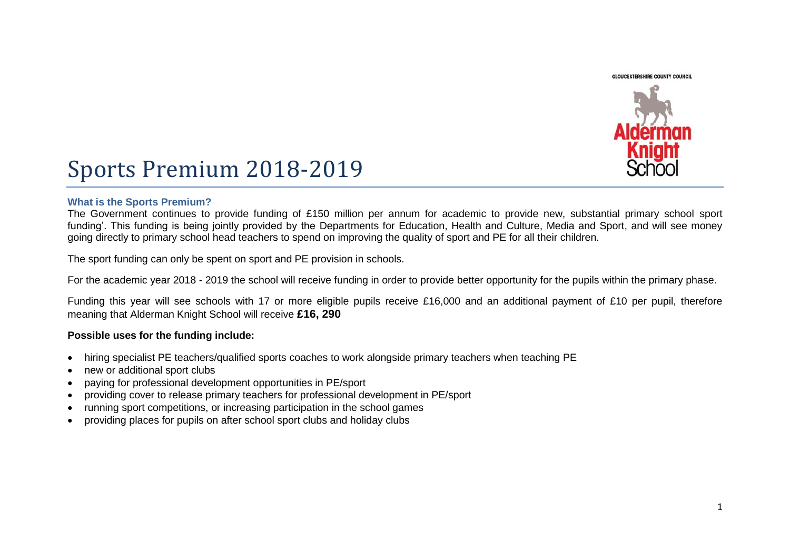**GLOUCESTERSHIRE COUNTY COUNCIL** 



# Sports Premium 2018-2019

## **What is the Sports Premium?**

The Government continues to provide funding of £150 million per annum for academic to provide new, substantial primary school sport funding'. This funding is being jointly provided by the Departments for Education, Health and Culture, Media and Sport, and will see money going directly to primary school head teachers to spend on improving the quality of sport and PE for all their children.

The sport funding can only be spent on sport and PE provision in schools.

For the academic year 2018 - 2019 the school will receive funding in order to provide better opportunity for the pupils within the primary phase.

Funding this year will see schools with 17 or more eligible pupils receive £16,000 and an additional payment of £10 per pupil, therefore meaning that Alderman Knight School will receive **£16, 290** 

#### **Possible uses for the funding include:**

- hiring specialist PE teachers/qualified sports coaches to work alongside primary teachers when teaching PE
- new or additional sport clubs
- paying for professional development opportunities in PE/sport
- providing cover to release primary teachers for professional development in PE/sport
- running sport competitions, or increasing participation in the school games
- providing places for pupils on after school sport clubs and holiday clubs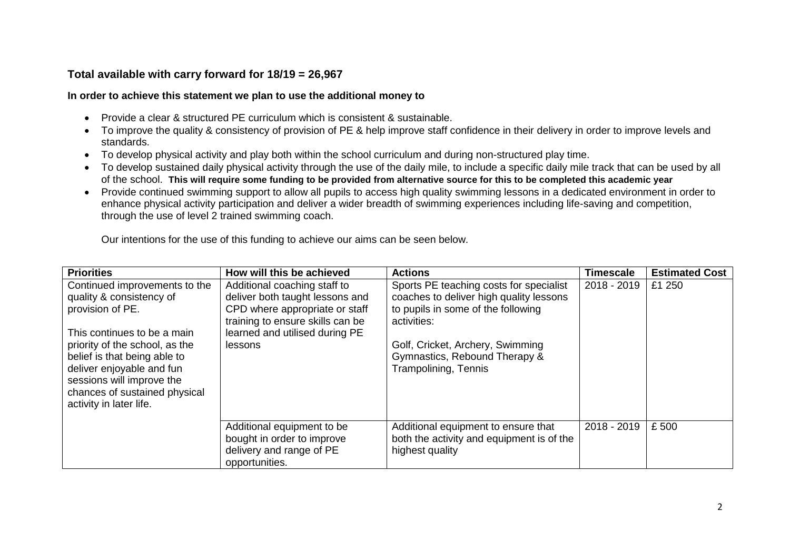# **Total available with carry forward for 18/19 = 26,967**

## **In order to achieve this statement we plan to use the additional money to**

- Provide a clear & structured PE curriculum which is consistent & sustainable.
- To improve the quality & consistency of provision of PE & help improve staff confidence in their delivery in order to improve levels and standards.
- To develop physical activity and play both within the school curriculum and during non-structured play time.
- To develop sustained daily physical activity through the use of the daily mile, to include a specific daily mile track that can be used by all of the school. **This will require some funding to be provided from alternative source for this to be completed this academic year**
- Provide continued swimming support to allow all pupils to access high quality swimming lessons in a dedicated environment in order to enhance physical activity participation and deliver a wider breadth of swimming experiences including life-saving and competition, through the use of level 2 trained swimming coach.

Our intentions for the use of this funding to achieve our aims can be seen below.

| <b>Priorities</b>                                                                                                                                                                                                                                                                                    | How will this be achieved                                                                                                                                                          | <b>Actions</b>                                                                                                                                                                                                                       | <b>Timescale</b> | <b>Estimated Cost</b> |
|------------------------------------------------------------------------------------------------------------------------------------------------------------------------------------------------------------------------------------------------------------------------------------------------------|------------------------------------------------------------------------------------------------------------------------------------------------------------------------------------|--------------------------------------------------------------------------------------------------------------------------------------------------------------------------------------------------------------------------------------|------------------|-----------------------|
| Continued improvements to the<br>quality & consistency of<br>provision of PE.<br>This continues to be a main<br>priority of the school, as the<br>belief is that being able to<br>deliver enjoyable and fun<br>sessions will improve the<br>chances of sustained physical<br>activity in later life. | Additional coaching staff to<br>deliver both taught lessons and<br>CPD where appropriate or staff<br>training to ensure skills can be<br>learned and utilised during PE<br>lessons | Sports PE teaching costs for specialist<br>coaches to deliver high quality lessons<br>to pupils in some of the following<br>activities:<br>Golf, Cricket, Archery, Swimming<br>Gymnastics, Rebound Therapy &<br>Trampolining, Tennis | 2018 - 2019      | £1 250                |
|                                                                                                                                                                                                                                                                                                      | Additional equipment to be<br>bought in order to improve<br>delivery and range of PE<br>opportunities.                                                                             | Additional equipment to ensure that<br>both the activity and equipment is of the<br>highest quality                                                                                                                                  | 2018 - 2019      | £500                  |